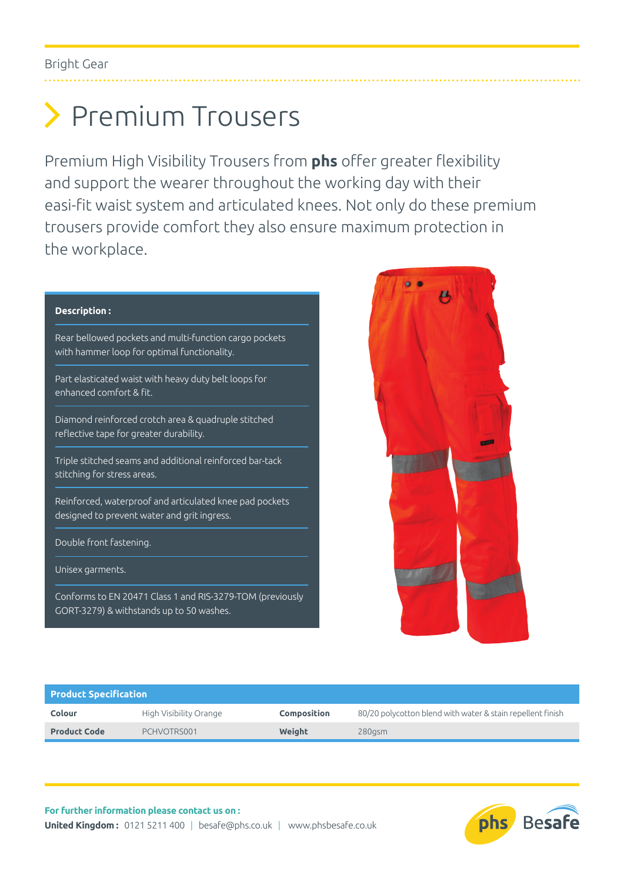# Premium Trousers

Premium High Visibility Trousers from **phs** offer greater flexibility and support the wearer throughout the working day with their easi-fit waist system and articulated knees. Not only do these premium trousers provide comfort they also ensure maximum protection in the workplace.

### **Description :** Rear bellowed pockets and multi-function cargo pockets with hammer loop for optimal functionality. Part elasticated waist with heavy duty belt loops for enhanced comfort & fit. Diamond reinforced crotch area & quadruple stitched reflective tape for greater durability. Triple stitched seams and additional reinforced bar-tack stitching for stress areas. Reinforced, waterproof and articulated knee pad pockets designed to prevent water and grit ingress. Double front fastening. Unisex garments. Conforms to EN 20471 Class 1 and RIS-3279-TOM (previously

GORT-3279) & withstands up to 50 washes.



#### **Product Specification Colour** High Visibility Orange **Composition** 80/20 polycotton blend with water & stain repellent finish **Product Code** PCHVOTRS001 **Weight** 280gsm